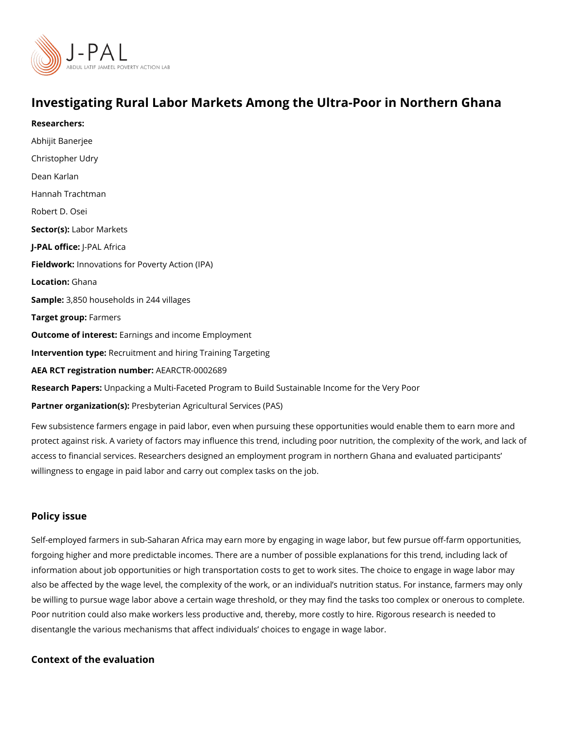## Investigating Rural Labor Markets Among the Ultra-Poor in

Researchers: [Abhijit Ban](https://www.povertyactionlab.org/person/banerjee)erjee [Christopher](https://www.povertyactionlab.org/person/udry) Udry [Dean Ka](https://www.povertyactionlab.org/person/karlan)rlan Hannah Trachtman Robert D. Osei Sector(Lsabor Markets J-PAL oftJicReAL Africa Fieldworkhnovations for Poverty Action (IPA) Locatio 6: hana Sample: 850 households in 244 villages Target grolermers Outcome of intelestings and income Employment Intervention tReeruitment and hiring Training Targeting AEA RCT registration ArEuAnRbGeTR-0002689 Research Paper psacking a Multi-Faceted Program to Build Sustainable Income for the Very Partner organizat Poe \$b) terian Agricultural Services (PAS)

Few subsistence farmers engage in paid labor, even when pursuing these opportunities wo protect against risk. A variety of factors may influence this trend, including poor nutrition access to financial services. Researchers designed an employment program in northern G willingness to engage in paid labor and carry out complex tasks on the job.

## Policy issue

Self-employed farmers in sub-Saharan Africa may earn more by engaging in wage labor, b forgoing higher and more predictable incomes. There are a number of possible explanatio information about job opportunities or high transportation costs to get to work sites. The also be affected by the wage level, the complexity of the work, or an individual s nutritio be willing to pursue wage labor above a certain wage threshold, or they may find the task Poor nutrition could also make workers less productive and, thereby, more costly to hire. disentangle the various mechanisms that affect individuals choices to engage in wage labor.

Context of the evaluation